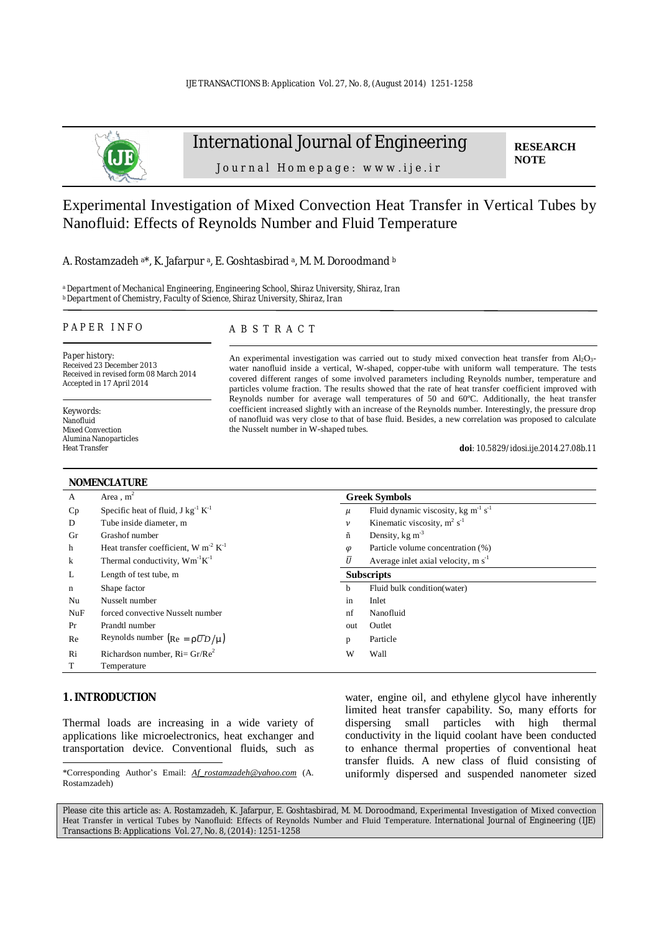

# International Journal of Engineering

**RESEARCH NOTE** 

Journal Homepage: www.ije.ir

Experimental Investigation of Mixed Convection Heat Transfer in Vertical Tubes by Nanofluid: Effects of Reynolds Number and Fluid Temperature

#### A. Rostamzadeh a\*, K. Jafarpur a, E. Goshtasbirad a, M. M. Doroodmand b

*<sup>a</sup>Department of Mechanical Engineering, Engineering School, Shiraz University, Shiraz, Iran <sup>b</sup>Department of Chemistry, Faculty of Science, Shiraz University, Shiraz, Iran*

#### *P A P E R I N F O*

*Paper history:*  Received 23 December 2013 Received in revised form 08 March 2014 Accepted in 17 April 2014

*Keywords*: Nanofluid Mixed Convection Alumina Nanoparticles Heat Transfer

#### *A B S T R A C T*

An experimental investigation was carried out to study mixed convection heat transfer from  $Al_2O_3$ water nanofluid inside a vertical, W-shaped, copper-tube with uniform wall temperature. The tests covered different ranges of some involved parameters including Reynolds number, temperature and particles volume fraction. The results showed that the rate of heat transfer coefficient improved with Reynolds number for average wall temperatures of 50 and 60ºC. Additionally, the heat transfer coefficient increased slightly with an increase of the Reynolds number. Interestingly, the pressure drop of nanofluid was very close to that of base fluid. Besides, a new correlation was proposed to calculate the Nusselt number in W-shaped tubes.

*doi: 10.5829/idosi.ije.2014.27.08b.11*

| <b>NOMENCLATURE</b> |                                                       |                      |                                             |  |  |
|---------------------|-------------------------------------------------------|----------------------|---------------------------------------------|--|--|
| A                   | Area, $m2$                                            | <b>Greek Symbols</b> |                                             |  |  |
| Cp                  | Specific heat of fluid, $J kg^{-1} K^{-1}$            | $\mu$                | Fluid dynamic viscosity, kg $m^{-1} s^{-1}$ |  |  |
| D                   | Tube inside diameter, m                               | $\boldsymbol{\nu}$   | Kinematic viscosity, $m^2 s^{-1}$           |  |  |
| Gr                  | Grashof number                                        | ñ                    | Density, $kg \text{ m}^{-3}$                |  |  |
| h                   | Heat transfer coefficient, W m <sup>-2</sup> $K^{-1}$ | $\varphi$            | Particle volume concentration (%)           |  |  |
| $\bf k$             | Thermal conductivity, $Wm^{-1}K^{-1}$                 | $\bar{U}$            | Average inlet axial velocity, $m s^{-1}$    |  |  |
| L                   | Length of test tube, m                                | <b>Subscripts</b>    |                                             |  |  |
| n                   | Shape factor                                          | h                    | Fluid bulk condition(water)                 |  |  |
| Nu                  | Nusselt number                                        | in                   | Inlet                                       |  |  |
| NuF                 | forced convective Nusselt number                      | nf                   | Nanofluid                                   |  |  |
| Pr                  | Prandtl number                                        | out                  | Outlet                                      |  |  |
| Re                  | Reynolds number $(Re = r\overline{U}D/m)$             | p                    | Particle                                    |  |  |
| Ri                  | Richardson number, $Ri = Gr/Re^2$                     | W                    | Wall                                        |  |  |
| T                   | Temperature                                           |                      |                                             |  |  |

## **1. INTRODUCTION**

l

Thermal loads are increasing in a wide variety of applications like microelectronics, heat exchanger and transportation device. Conventional fluids, such as water, engine oil, and ethylene glycol have inherently limited heat transfer capability. So, many efforts for dispersing small particles with high thermal conductivity in the liquid coolant have been conducted to enhance thermal properties of conventional heat transfer fluids. A new class of fluid consisting of uniformly dispersed and suspended nanometer sized

Please cite this article as: A. Rostamzadeh, K. Jafarpur, E. Goshtasbirad, M. M. Doroodmand, Experimental Investigation of Mixed convection Heat Transfer in vertical Tubes by Nanofluid: Effects of Reynolds Number and Fluid Temperature. International Journal of Engineering (IJE) Transactions B: Applications Vol. 27, No. 8, (2014): 1251-1258

<sup>\*</sup>Corresponding Author's Email: *[Af\\_rostamzadeh@yahoo.com](mailto:Af_rostamzadeh@yahoo.com)* (A. Rostamzadeh)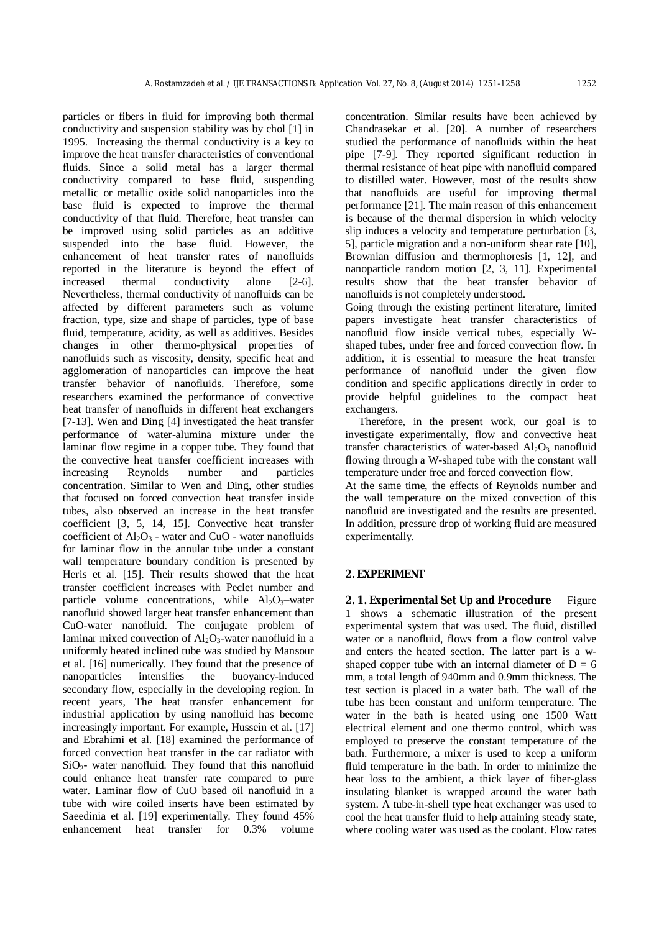particles or fibers in fluid for improving both thermal conductivity and suspension stability was by chol [1] in 1995. Increasing the thermal conductivity is a key to improve the heat transfer characteristics of conventional fluids. Since a solid metal has a larger thermal conductivity compared to base fluid, suspending metallic or metallic oxide solid nanoparticles into the base fluid is expected to improve the thermal conductivity of that fluid. Therefore, heat transfer can be improved using solid particles as an additive suspended into the base fluid. However, the enhancement of heat transfer rates of nanofluids reported in the literature is beyond the effect of increased thermal conductivity alone [2-6]. Nevertheless, thermal conductivity of nanofluids can be affected by different parameters such as volume fraction, type, size and shape of particles, type of base fluid, temperature, acidity, as well as additives. Besides changes in other thermo-physical properties of nanofluids such as viscosity, density, specific heat and agglomeration of nanoparticles can improve the heat transfer behavior of nanofluids. Therefore, some researchers examined the performance of convective heat transfer of nanofluids in different heat exchangers [7-13]. Wen and Ding [4] investigated the heat transfer performance of water-alumina mixture under the laminar flow regime in a copper tube. They found that the convective heat transfer coefficient increases with increasing Reynolds number and particles concentration. Similar to Wen and Ding, other studies that focused on forced convection heat transfer inside tubes, also observed an increase in the heat transfer coefficient [3, 5, 14, 15]. Convective heat transfer coefficient of  $Al_2O_3$  - water and CuO - water nanofluids for laminar flow in the annular tube under a constant wall temperature boundary condition is presented by Heris et al. [15]. Their results showed that the heat transfer coefficient increases with Peclet number and particle volume concentrations, while  $Al_2O_3$ -water nanofluid showed larger heat transfer enhancement than CuO-water nanofluid. The conjugate problem of laminar mixed convection of  $Al_2O_3$ -water nanofluid in a uniformly heated inclined tube was studied by Mansour et al. [16] numerically. They found that the presence of nanoparticles intensifies the buoyancy-induced secondary flow, especially in the developing region. In recent years, The heat transfer enhancement for industrial application by using nanofluid has become increasingly important. For example, Hussein et al. [17] and Ebrahimi et al. [18] examined the performance of forced convection heat transfer in the car radiator with SiO2- water nanofluid. They found that this nanofluid could enhance heat transfer rate compared to pure water. Laminar flow of CuO based oil nanofluid in a tube with wire coiled inserts have been estimated by Saeedinia et al. [19] experimentally. They found 45% enhancement heat transfer for 0.3% volume

concentration. Similar results have been achieved by Chandrasekar et al. [20]. A number of researchers studied the performance of nanofluids within the heat pipe [7-9]. They reported significant reduction in thermal resistance of heat pipe with nanofluid compared to distilled water. However, most of the results show that nanofluids are useful for improving thermal performance [21]. The main reason of this enhancement is because of the thermal dispersion in which velocity slip induces a velocity and temperature perturbation [3, 5], particle migration and a non-uniform shear rate [10], Brownian diffusion and thermophoresis [1, 12], and nanoparticle random motion [2, 3, 11]. Experimental results show that the heat transfer behavior of nanofluids is not completely understood.

Going through the existing pertinent literature, limited papers investigate heat transfer characteristics of nanofluid flow inside vertical tubes, especially Wshaped tubes, under free and forced convection flow. In addition, it is essential to measure the heat transfer performance of nanofluid under the given flow condition and specific applications directly in order to provide helpful guidelines to the compact heat exchangers.

 Therefore, in the present work, our goal is to investigate experimentally, flow and convective heat transfer characteristics of water-based  $Al_2O_3$  nanofluid flowing through a W-shaped tube with the constant wall temperature under free and forced convection flow.

At the same time, the effects of Reynolds number and the wall temperature on the mixed convection of this nanofluid are investigated and the results are presented. In addition, pressure drop of working fluid are measured experimentally.

#### **2. EXPERIMENT**

**2. 1. Experimental Set Up and Procedure** Figure 1 shows a schematic illustration of the present experimental system that was used. The fluid, distilled water or a nanofluid, flows from a flow control valve and enters the heated section. The latter part is a wshaped copper tube with an internal diameter of  $D = 6$ mm, a total length of 940mm and 0.9mm thickness. The test section is placed in a water bath. The wall of the tube has been constant and uniform temperature. The water in the bath is heated using one 1500 Watt electrical element and one thermo control, which was employed to preserve the constant temperature of the bath. Furthermore, a mixer is used to keep a uniform fluid temperature in the bath. In order to minimize the heat loss to the ambient, a thick layer of fiber-glass insulating blanket is wrapped around the water bath system. A tube-in-shell type heat exchanger was used to cool the heat transfer fluid to help attaining steady state, where cooling water was used as the coolant. Flow rates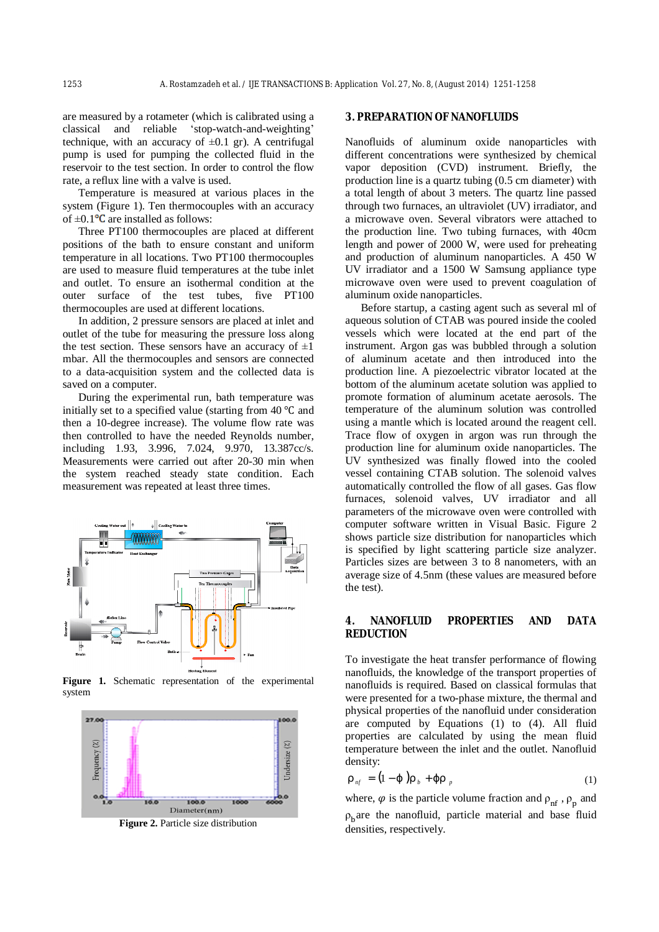are measured by a rotameter (which is calibrated using a classical and reliable 'stop-watch-and-weighting' technique, with an accuracy of  $\pm 0.1$  gr). A centrifugal pump is used for pumping the collected fluid in the reservoir to the test section. In order to control the flow rate, a reflux line with a valve is used.

Temperature is measured at various places in the system (Figure 1). Ten thermocouples with an accuracy of  $\pm 0.1$ <sup>o</sup>C are installed as follows:

Three PT100 thermocouples are placed at different positions of the bath to ensure constant and uniform temperature in all locations. Two PT100 thermocouples are used to measure fluid temperatures at the tube inlet and outlet. To ensure an isothermal condition at the outer surface of the test tubes, five PT100 thermocouples are used at different locations.

In addition, 2 pressure sensors are placed at inlet and outlet of the tube for measuring the pressure loss along the test section. These sensors have an accuracy of  $\pm 1$ mbar. All the thermocouples and sensors are connected to a data-acquisition system and the collected data is saved on a computer.

During the experimental run, bath temperature was initially set to a specified value (starting from 40 ℃ and then a 10-degree increase). The volume flow rate was then controlled to have the needed Reynolds number, including 1.93, 3.996, 7.024, 9.970, 13.387cc/s. Measurements were carried out after 20-30 min when the system reached steady state condition. Each measurement was repeated at least three times.



**Figure 1.** Schematic representation of the experimental system



**Figure 2.** Particle size distribution

#### **3. PREPARATION OF NANOFLUIDS**

Nanofluids of aluminum oxide nanoparticles with different concentrations were synthesized by chemical vapor deposition (CVD) instrument. Briefly, the production line is a quartz tubing (0.5 cm diameter) with a total length of about 3 meters. The quartz line passed through two furnaces, an ultraviolet (UV) irradiator, and a microwave oven. Several vibrators were attached to the production line. Two tubing furnaces, with 40cm length and power of 2000 W, were used for preheating and production of aluminum nanoparticles. A 450 W UV irradiator and a 1500 W Samsung appliance type microwave oven were used to prevent coagulation of aluminum oxide nanoparticles.

Before startup, a casting agent such as several ml of aqueous solution of CTAB was poured inside the cooled vessels which were located at the end part of the instrument. Argon gas was bubbled through a solution of aluminum acetate and then introduced into the production line. A piezoelectric vibrator located at the bottom of the aluminum acetate solution was applied to promote formation of aluminum acetate aerosols. The temperature of the aluminum solution was controlled using a mantle which is located around the reagent cell. Trace flow of oxygen in argon was run through the production line for aluminum oxide nanoparticles. The UV synthesized was finally flowed into the cooled vessel containing CTAB solution. The solenoid valves automatically controlled the flow of all gases. Gas flow furnaces, solenoid valves, UV irradiator and all parameters of the microwave oven were controlled with computer software written in Visual Basic. Figure 2 shows particle size distribution for nanoparticles which is specified by light scattering particle size analyzer. Particles sizes are between 3 to 8 nanometers, with an average size of 4.5nm (these values are measured before the test).

### **4. NANOFLUID PROPERTIES AND DATA REDUCTION**

To investigate the heat transfer performance of flowing nanofluids, the knowledge of the transport properties of nanofluids is required. Based on classical formulas that were presented for a two-phase mixture, the thermal and physical properties of the nanofluid under consideration are computed by Equations (1) to (4). All fluid properties are calculated by using the mean fluid temperature between the inlet and the outlet. Nanofluid density:

$$
r_{n f} = (1-j) r_b + j r_p \tag{1}
$$

where,  $\varphi$  is the particle volume fraction and  $\rho_{\rm nf}$ ,  $\rho_{\rm p}$  and  $\rho_{\rm b}$  are the nanofluid, particle material and base fluid densities, respectively.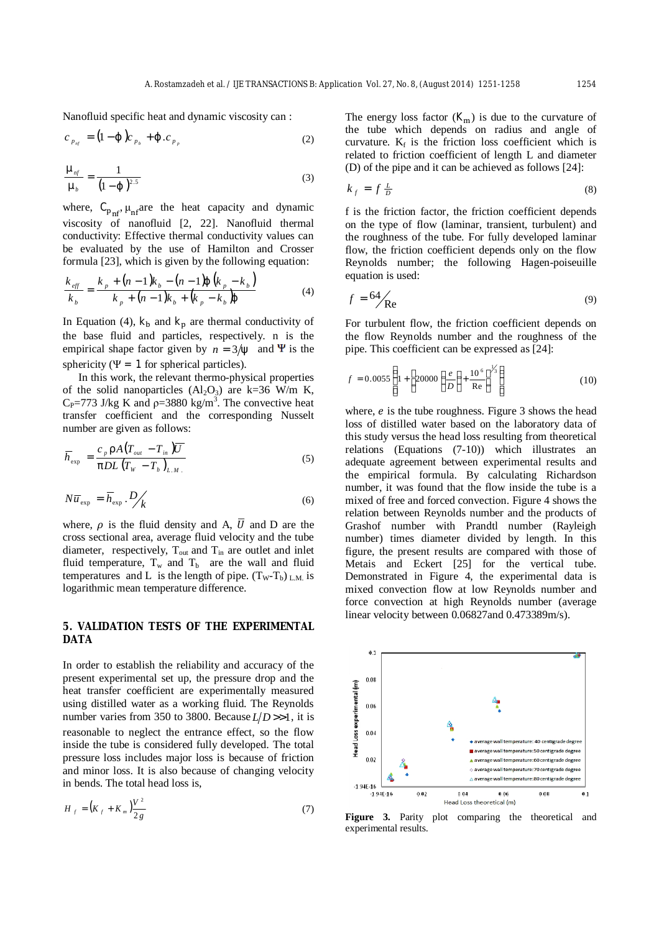Nanofluid specific heat and dynamic viscosity can :

$$
c_{p_{n'_{j}}} = (1-j)c_{p_{b}} + j.c_{p_{p}}
$$
 (2)

$$
\frac{m_{n f}}{m_b} = \frac{1}{(1-j)^{2.5}}
$$
 (3)

where,  $C_{p_{n}f}$ ,  $\mu_{nf}$  are the heat capacity and dynamic viscosity of nanofluid [2, 22]. Nanofluid thermal conductivity: Effective thermal conductivity values can be evaluated by the use of Hamilton and Crosser formula [23], which is given by the following equation:

$$
\frac{k_{\text{eff}}}{k_{\text{b}}} = \frac{k_{\text{p}} + (n-1)k_{\text{b}} - (n-1)\mathbf{j} \left(k_{\text{p}} - k_{\text{b}}\right)}{k_{\text{p}} + (n-1)k_{\text{b}} + (k_{\text{p}} - k_{\text{b}})\mathbf{j}}
$$
(4)

In Equation (4),  $\mathbf{k}_b$  and  $\mathbf{k}_r$  are thermal conductivity of the base fluid and particles, respectively. n is the empirical shape factor given by  $n = 3/y$  and  $\Psi$  is the sphericity ( $\Psi = 1$  for spherical particles).

In this work, the relevant thermo-physical properties of the solid nanoparticles  $(Al_2O_3)$  are k=36 W/m K,  $C_P$ =773 J/kg K and  $\rho$ =3880 kg/m<sup>3</sup>. The convective heat transfer coefficient and the corresponding Nusselt number are given as follows:

$$
\overline{h}_{\text{exp}} = \frac{c_p \, rA \big( T_{\text{out}} - T_{\text{in}} \big) \overline{U}}{pDL \big( T_w - T_b \big)_{L.M.}} \tag{5}
$$

$$
N\overline{u}_{\text{exp}} = \overline{h}_{\text{exp}} \cdot D \bigg/_{k} \tag{6}
$$

where,  $\rho$  is the fluid density and A,  $\overline{U}$  and D are the cross sectional area, average fluid velocity and the tube diameter, respectively,  $T_{out}$  and  $T_{in}$  are outlet and inlet fluid temperature,  $T_w$  and  $T_b$  are the wall and fluid temperatures and L is the length of pipe.  $(T_W - T_b)$  LM is logarithmic mean temperature difference.

## **5. VALIDATION TESTS OF THE EXPERIMENTAL DATA**

In order to establish the reliability and accuracy of the present experimental set up, the pressure drop and the heat transfer coefficient are experimentally measured using distilled water as a working fluid. The Reynolds number varies from 350 to 3800. Because  $L/D \gg 1$ , it is reasonable to neglect the entrance effect, so the flow inside the tube is considered fully developed. The total pressure loss includes major loss is because of friction and minor loss. It is also because of changing velocity in bends. The total head loss is,

$$
H_{f} = (K_{f} + K_{m}) \frac{V^{2}}{2 g}
$$
 (7)

The energy loss factor  $(K<sub>m</sub>)$  is due to the curvature of the tube which depends on radius and angle of curvature.  $K_f$  is the friction loss coefficient which is related to friction coefficient of length L and diameter (D) of the pipe and it can be achieved as follows [24]:

$$
k_f = f \frac{L}{D} \tag{8}
$$

f is the friction factor, the friction coefficient depends on the type of flow (laminar, transient, turbulent) and the roughness of the tube. For fully developed laminar flow, the friction coefficient depends only on the flow Reynolds number; the following Hagen-poiseuille equation is used:

$$
f = 64 \text{Re} \tag{9}
$$

For turbulent flow, the friction coefficient depends on the flow Reynolds number and the roughness of the pipe. This coefficient can be expressed as [24]:

$$
f = 0.0055 \left\{ 1 + \left[ 20000 \left( \frac{e}{D} \right) + \frac{10^6}{\text{Re}} \right]^{1/5} \right\} \tag{10}
$$

where,  $e$  is the tube roughness. Figure 3 shows the head loss of distilled water based on the laboratory data of this study versus the head loss resulting from theoretical relations (Equations (7-10)) which illustrates an adequate agreement between experimental results and the empirical formula. By calculating Richardson number, it was found that the flow inside the tube is a mixed of free and forced convection. Figure 4 shows the relation between Reynolds number and the products of Grashof number with Prandtl number (Rayleigh number) times diameter divided by length. In this figure, the present results are compared with those of Metais and Eckert [25] for the vertical tube. Demonstrated in Figure 4, the experimental data is mixed convection flow at low Reynolds number and force convection at high Reynolds number (average linear velocity between 0.06827and 0.473389m/s).



**Figure 3.** Parity plot comparing the theoretical and experimental results.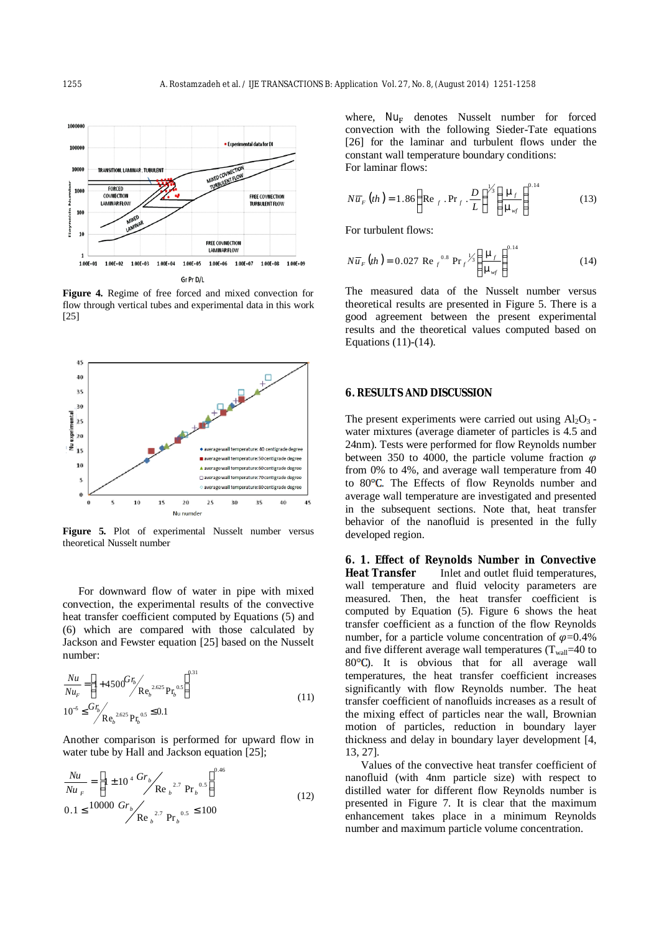

**Figure 4.** Regime of free forced and mixed convection for flow through vertical tubes and experimental data in this work [25]



**Figure 5.** Plot of experimental Nusselt number versus theoretical Nusselt number

For downward flow of water in pipe with mixed convection, the experimental results of the convective heat transfer coefficient computed by Equations (5) and (6) which are compared with those calculated by Jackson and Fewster equation [25] based on the Nusselt number:

$$
\frac{Nu}{Nu_F} = \left[1 + 4500 \frac{Gr_b}{Re_b^{2.625}} P_{F_b^{0.5}}\right]^{0.31}
$$
\n
$$
10^{-5} \leq \frac{Gr_b}{Re_b^{2.625}} P_{F_b^{0.5}} \leq 0.1
$$
\n(11)

Another comparison is performed for upward flow in water tube by Hall and Jackson equation [25];

$$
\frac{Nu}{Nu_{F}} = \left[1 \pm 10^{4} \frac{Gr_{b}}{Re_{b}} \right]^{0.46}
$$
\n
$$
0.1 \leq 10000 \frac{Gr_{b}}{Re_{b}} \left(\frac{2.7}{12}\right) Pr_{b}^{0.5} \leq 100
$$
\n
$$
(12)
$$

where,  $Nu<sub>F</sub>$  denotes Nusselt number for forced convection with the following Sieder-Tate equations [26] for the laminar and turbulent flows under the constant wall temperature boundary conditions: For laminar flows:

$$
N\overline{u}_F (th) = 1.86 \left( \text{Re } _f \text{ .Pr } _f \text{ .}\frac{D}{L} \right)^{1/3} \left( \frac{m_f}{m_{wf}} \right)^{0.14} \tag{13}
$$

For turbulent flows:

$$
N\overline{u}_F (th) = 0.027 \text{ Re }_{f}^{0.8} \text{Pr}_{f}^{1/3} \left( \frac{\mathbf{m}_f}{\mathbf{m}_{\text{wf}}} \right)^{0.14}
$$
 (14)

The measured data of the Nusselt number versus theoretical results are presented in Figure 5. There is a good agreement between the present experimental results and the theoretical values computed based on Equations (11)-(14).

### **6. RESULTS AND DISCUSSION**

The present experiments were carried out using  $Al_2O_3$ . water mixtures (average diameter of particles is 4.5 and 24nm). Tests were performed for flow Reynolds number between 350 to 4000, the particle volume fraction  $\varphi$ from 0% to 4%, and average wall temperature from 40 to  $80^{\circ}$ C. The Effects of flow Reynolds number and average wall temperature are investigated and presented in the subsequent sections. Note that, heat transfer behavior of the nanofluid is presented in the fully developed region.

**6. 1. Effect of Reynolds Number in Convective Heat Transfer** Inlet and outlet fluid temperatures, wall temperature and fluid velocity parameters are measured. Then, the heat transfer coefficient is computed by Equation (5). Figure 6 shows the heat transfer coefficient as a function of the flow Reynolds number, for a particle volume concentration of  $\varphi$ =0.4% and five different average wall temperatures  $(T_{wall}=40 \text{ to }$ 80°C). It is obvious that for all average wall temperatures, the heat transfer coefficient increases significantly with flow Reynolds number. The heat transfer coefficient of nanofluids increases as a result of the mixing effect of particles near the wall, Brownian motion of particles, reduction in boundary layer thickness and delay in boundary layer development [4, 13, 27].

Values of the convective heat transfer coefficient of nanofluid (with 4nm particle size) with respect to distilled water for different flow Reynolds number is presented in Figure 7. It is clear that the maximum enhancement takes place in a minimum Reynolds number and maximum particle volume concentration.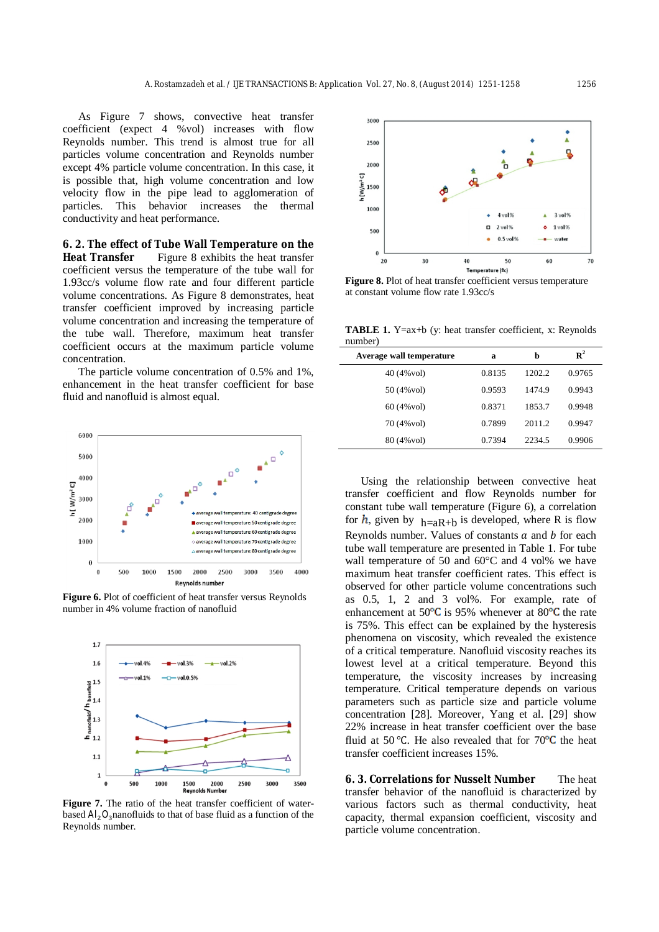As Figure 7 shows, convective heat transfer coefficient (expect 4 %vol) increases with flow Reynolds number. This trend is almost true for all particles volume concentration and Reynolds number except 4% particle volume concentration. In this case, it is possible that, high volume concentration and low velocity flow in the pipe lead to agglomeration of particles. This behavior increases the thermal conductivity and heat performance.

**6. 2. The effect of Tube Wall Temperature on the Heat Transfer** Figure 8 exhibits the heat transfer coefficient versus the temperature of the tube wall for 1.93cc/s volume flow rate and four different particle volume concentrations. As Figure 8 demonstrates, heat transfer coefficient improved by increasing particle volume concentration and increasing the temperature of the tube wall. Therefore, maximum heat transfer coefficient occurs at the maximum particle volume concentration.

The particle volume concentration of 0.5% and 1%, enhancement in the heat transfer coefficient for base fluid and nanofluid is almost equal.



**Figure 6.** Plot of coefficient of heat transfer versus Reynolds number in 4% volume fraction of nanofluid



**Figure 7.** The ratio of the heat transfer coefficient of waterbased  $Al_2O_3$  nanofluids to that of base fluid as a function of the Reynolds number.



**Figure 8.** Plot of heat transfer coefficient versus temperature at constant volume flow rate 1.93cc/s

**TABLE 1.** Y=ax+b (y: heat transfer coefficient, x: Reynolds number)

| Average wall temperature | а      | b      | $\mathbb{R}^2$ |
|--------------------------|--------|--------|----------------|
| 40 (4% vol)              | 0.8135 | 1202.2 | 0.9765         |
| 50 (4% vol)              | 0.9593 | 1474.9 | 0.9943         |
| 60 (4% vol)              | 0.8371 | 1853.7 | 0.9948         |
| 70 (4% vol)              | 0.7899 | 2011.2 | 0.9947         |
| 80 (4% vol)              | 0.7394 | 2234.5 | 0.9906         |
|                          |        |        |                |

Using the relationship between convective heat transfer coefficient and flow Reynolds number for constant tube wall temperature (Figure 6), a correlation for h, given by  $h=aR+b$  is developed, where R is flow Reynolds number. Values of constants  $a$  and  $b$  for each tube wall temperature are presented in Table 1. For tube wall temperature of 50 and 60°C and 4 vol% we have maximum heat transfer coefficient rates. This effect is observed for other particle volume concentrations such as 0.5, 1, 2 and 3 vol%. For example, rate of enhancement at  $50^{\circ}$ C is 95% whenever at  $80^{\circ}$ C the rate is 75%. This effect can be explained by the hysteresis phenomena on viscosity, which revealed the existence of a critical temperature. Nanofluid viscosity reaches its lowest level at a critical temperature. Beyond this temperature, the viscosity increases by increasing temperature. Critical temperature depends on various parameters such as particle size and particle volume concentration [28]. Moreover, Yang et al. [29] show 22% increase in heat transfer coefficient over the base fluid at 50 °C. He also revealed that for  $70^{\circ}$ C the heat transfer coefficient increases 15%.

**6. 3. Correlations for Nusselt Number** The heat transfer behavior of the nanofluid is characterized by various factors such as thermal conductivity, heat capacity, thermal expansion coefficient, viscosity and particle volume concentration.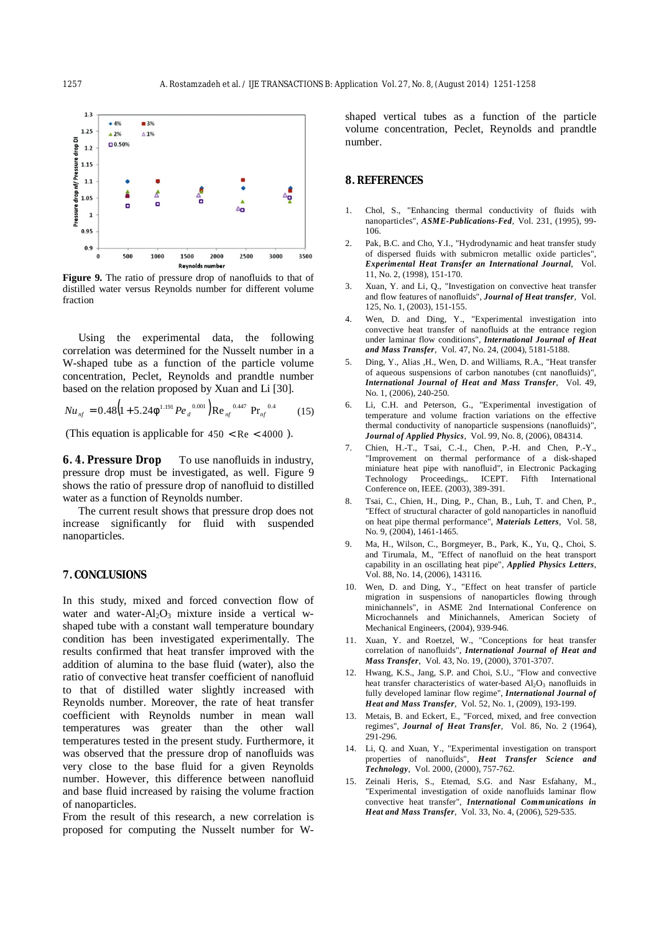

**Figure 9.** The ratio of pressure drop of nanofluids to that of distilled water versus Reynolds number for different volume fraction

Using the experimental data, the following correlation was determined for the Nusselt number in a W-shaped tube as a function of the particle volume concentration, Peclet, Reynolds and prandtle number based on the relation proposed by Xuan and Li [30].

$$
Nu_{nf} = 0.48(1 + 5.24f^{1.191}Pe_{d}^{0.001})Re_{nf}^{0.447}Pr_{nf}^{0.4}
$$
 (15)

(This equation is applicable for  $450 < Re < 4000$ ).

**6. 4. Pressure Drop** To use nanofluids in industry, pressure drop must be investigated, as well. Figure 9 shows the ratio of pressure drop of nanofluid to distilled water as a function of Reynolds number.

The current result shows that pressure drop does not increase significantly for fluid with suspended nanoparticles.

## **7. CONCLUSIONS**

In this study, mixed and forced convection flow of water and water- $Al_2O_3$  mixture inside a vertical wshaped tube with a constant wall temperature boundary condition has been investigated experimentally. The results confirmed that heat transfer improved with the addition of alumina to the base fluid (water), also the ratio of convective heat transfer coefficient of nanofluid to that of distilled water slightly increased with Reynolds number. Moreover, the rate of heat transfer coefficient with Reynolds number in mean wall temperatures was greater than the other wall temperatures tested in the present study. Furthermore, it was observed that the pressure drop of nanofluids was very close to the base fluid for a given Reynolds number. However, this difference between nanofluid and base fluid increased by raising the volume fraction of nanoparticles.

From the result of this research, a new correlation is proposed for computing the Nusselt number for W-

shaped vertical tubes as a function of the particle volume concentration, Peclet, Reynolds and prandtle number.

#### **8. REFERENCES**

- 1. Chol, S., "Enhancing thermal conductivity of fluids with nanoparticles", *ASME-Publications-Fed*, Vol. 231, (1995), 99- 106.
- 2. Pak, B.C. and Cho, Y.I., "Hydrodynamic and heat transfer study of dispersed fluids with submicron metallic oxide particles", *Experimental Heat Transfer an International Journal*, Vol. 11, No. 2, (1998), 151-170.
- 3. Xuan, Y. and Li, Q., "Investigation on convective heat transfer and flow features of nanofluids", *Journal of Heat transfer*, Vol. 125, No. 1, (2003), 151-155.
- 4. Wen, D. and Ding, Y., "Experimental investigation into convective heat transfer of nanofluids at the entrance region under laminar flow conditions", *International Journal of Heat and Mass Transfer*, Vol. 47, No. 24, (2004), 5181-5188.
- 5. Ding, Y., Alias ,H., Wen, D. and Williams, R.A., "Heat transfer of aqueous suspensions of carbon nanotubes (cnt nanofluids)", *International Journal of Heat and Mass Transfer*, Vol. 49, No. 1, (2006), 240-250.
- 6. Li, C.H. and Peterson, G., "Experimental investigation of temperature and volume fraction variations on the effective thermal conductivity of nanoparticle suspensions (nanofluids)", *Journal of Applied Physics*, Vol. 99, No. 8, (2006), 084314.
- 7. Chien, H.-T., Tsai, C.-I., Chen, P.-H. and Chen, P.-Y., "Improvement on thermal performance of a disk-shaped miniature heat pipe with nanofluid", in Electronic Packaging<br>Technology Proceedings, ICEPT. Fifth International Proceedings,. ICEPT. Fifth International Conference on, IEEE. (2003), 389-391.
- 8. Tsai, C., Chien, H., Ding, P., Chan, B., Luh, T. and Chen, P., "Effect of structural character of gold nanoparticles in nanofluid on heat pipe thermal performance", *Materials Letters*, Vol. 58, No. 9, (2004), 1461-1465.
- 9. Ma, H., Wilson, C., Borgmeyer, B., Park, K., Yu, Q., Choi, S. and Tirumala, M., "Effect of nanofluid on the heat transport capability in an oscillating heat pipe", *Applied Physics Letters*, Vol. 88, No. 14, (2006), 143116.
- 10. Wen, D. and Ding, Y., "Effect on heat transfer of particle migration in suspensions of nanoparticles flowing through minichannels", in ASME 2nd International Conference on Microchannels and Minichannels, American Society of Mechanical Engineers, (2004), 939-946.
- 11. Xuan, Y. and Roetzel, W., "Conceptions for heat transfer correlation of nanofluids", *International Journal of Heat and Mass Transfer*, Vol. 43, No. 19, (2000), 3701-3707.
- 12. Hwang, K.S., Jang, S.P. and Choi, S.U., "Flow and convective heat transfer characteristics of water-based Al<sub>2</sub>O<sub>3</sub> nanofluids in fully developed laminar flow regime", *International Journal of Heat and Mass Transfer*, Vol. 52, No. 1, (2009), 193-199.
- 13. Metais, B. and Eckert, E., "Forced, mixed, and free convection regimes", *Journal of Heat Transfer*, Vol. 86, No. 2 (1964), 291-296.
- 14. Li, Q. and Xuan, Y., "Experimental investigation on transport properties of nanofluids", *Heat Transfer Science and Technology*, Vol. 2000, (2000), 757-762.
- 15. Zeinali Heris, S., Etemad, S.G. and Nasr Esfahany, M., "Experimental investigation of oxide nanofluids laminar flow convective heat transfer", *International Communications in Heat and Mass Transfer*, Vol. 33, No. 4, (2006), 529-535.